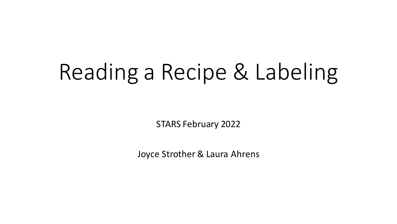# Reading a Recipe & Labeling

STARS February 2022

Joyce Strother & Laura Ahrens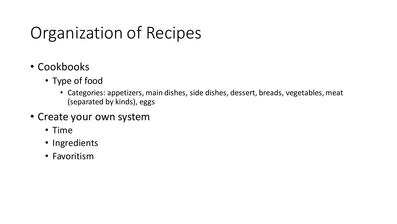# Organization of Recipes

- Cookbooks
	- Type of food
		- Categories: appetizers, main dishes, side dishes, dessert, breads, vegetables, meat (separated by kinds), eggs
- Create your own system
	- Time
	- Ingredients
	- Favoritism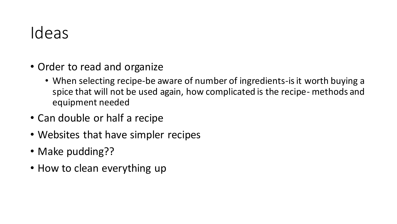#### Ideas

- Order to read and organize
	- When selecting recipe-be aware of number of ingredients-is it worth buying a spice that will not be used again, how complicated is the recipe- methods and equipment needed
- Can double or half a recipe
- Websites that have simpler recipes
- Make pudding??
- How to clean everything up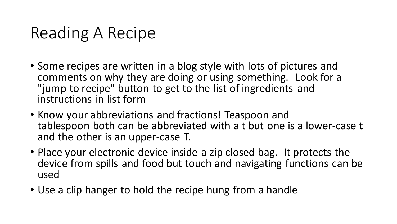### Reading A Recipe

- Some recipes are written in a blog style with lots of pictures and comments on why they are doing or using something. Look for a "jump to recipe" button to get to the list of ingredients and instructions in list form
- Know your abbreviations and fractions! Teaspoon and tablespoon both can be abbreviated with a t but one is a lower-case t and the other is an upper-case T.
- Place your electronic device inside a zip closed bag. It protects the device from spills and food but touch and navigating functions can be used
- Use a clip hanger to hold the recipe hung from a handle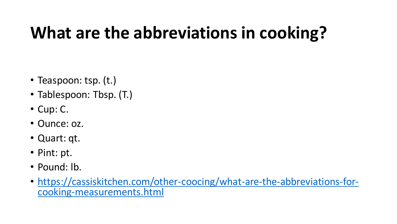# **What are the abbreviations in cooking?**

- Teaspoon: tsp. (t.)
- Tablespoon: Tbsp. (T.)
- Cup: C.
- Ounce: oz.
- Quart: qt.
- Pint: pt.
- Pound: lb.
- [https://cassiskitchen.com/other-coocing/what-are-the-abbreviations-for](https://cassiskitchen.com/other-coocing/what-are-the-abbreviations-for-cooking-measurements.html)cooking-measurements.html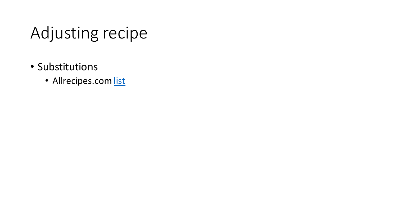# Adjusting recipe

- Substitutions
	- Allrecipes.com [list](https://www.allrecipes.com/article/common-ingredient-substitutions/)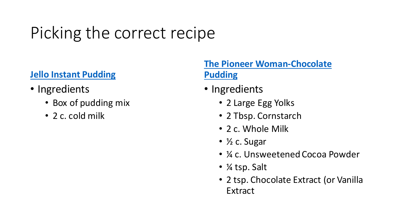# Picking the correct recipe

#### **[Jello Instant Pudding](https://www.heb.com/product-detail/jell-o-chocolate-instant-pudding-mix/135875)**

- Ingredients
	- Box of pudding mix
	- 2 c. cold milk

#### **[The Pioneer Woman-Chocolate](https://www.thepioneerwoman.com/food-cooking/recipes/a85701/how-to-make-chocolate-pudding/)  Pudding**

- Ingredients
	- 2 Large Egg Yolks
	- 2 Tbsp. Cornstarch
	- 2 c. Whole Milk
	- ½ c. Sugar
	- ¼ c. Unsweetened Cocoa Powder
	- ¼ tsp. Salt
	- 2 tsp. Chocolate Extract (or Vanilla Extract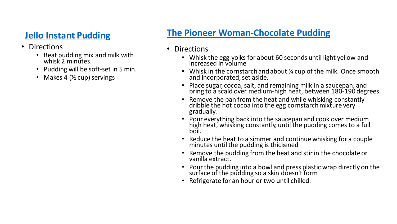#### **[Jello Instant Pudding](https://www.heb.com/product-detail/jell-o-chocolate-instant-pudding-mix/135875)**

- Directions
	- Beat pudding mix and milk with whisk 2 minutes.
	- Pudding will be soft-set in 5 min.
	- Makes 4 (<sup>1</sup>/<sub>2</sub> cup) servings

#### **[The Pioneer Woman-Chocolate Pudding](https://www.thepioneerwoman.com/food-cooking/recipes/a85701/how-to-make-chocolate-pudding/)**

- Directions
	- Whisk the egg yolks for about 60 seconds until light yellow and increased in volume
	- Whisk in the cornstarch and about  $\frac{1}{4}$  cup of the milk. Once smooth and incorporated, set aside.
	- Place sugar, cocoa, salt, and remaining milk in a saucepan, and bring to a scald over medium-high heat, between 180-190 degrees.
	- Remove the pan from the heat and while whisking constantly dribble the hot cocoa into the egg cornstarch mixture very gradually.
	- Pour everything back into the saucepan and cook over medium high heat, whisking constantly, until the pudding comes to a full boil.
	- Reduce the heat to a simmer and continue whisking for a couple minutes until the pudding is thickened
	- Remove the pudding from the heat and stir in the chocolate or vanilla extract.
	- Pour the pudding into a bowl and press plastic wrap directly on the surface of the pudding so a skin doesn't form
	- Refrigerate for an hour or two until chilled.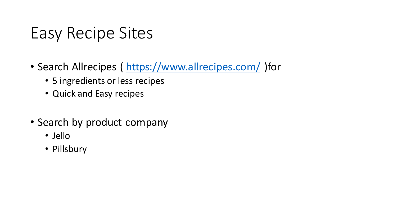### Easy Recipe Sites

- Search Allrecipes (<https://www.allrecipes.com/> )for
	- 5 ingredients or less recipes
	- Quick and Easy recipes
- Search by product company
	- Jello
	- Pillsbury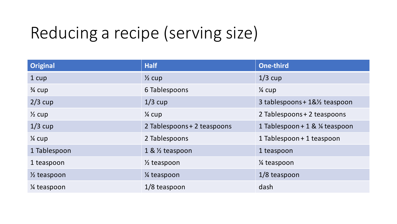# Reducing a recipe (serving size)

| <b>Original</b>          | <b>Half</b>                 | <b>One-third</b>                           |
|--------------------------|-----------------------------|--------------------------------------------|
| 1 cup                    | $\frac{1}{2}$ cup           | $1/3$ cup                                  |
| $\frac{3}{4}$ cup        | 6 Tablespoons               | $\frac{1}{4}$ cup                          |
| $2/3$ cup                | $1/3$ cup                   | 3 tablespoons + 1&1/ <sub>2</sub> teaspoon |
| $\frac{1}{2}$ cup        | $\frac{1}{4}$ cup           | 2 Tablespoons + 2 teaspoons                |
| $1/3$ cup                | 2 Tablespoons + 2 teaspoons | 1 Tablespoon + 1 & ¼ teaspoon              |
| $\frac{1}{4}$ cup        | 2 Tablespoons               | 1 Tablespoon + 1 teaspoon                  |
| 1 Tablespoon             | 1 & $\frac{1}{2}$ teaspoon  | 1 teaspoon                                 |
| 1 teaspoon               | $\frac{1}{2}$ teaspoon      | 1/ <sub>4</sub> teaspoon                   |
| $\frac{1}{2}$ teaspoon   | 1⁄4 teaspoon                | 1/8 teaspoon                               |
| 1/ <sub>4</sub> teaspoon | $1/8$ teaspoon              | dash                                       |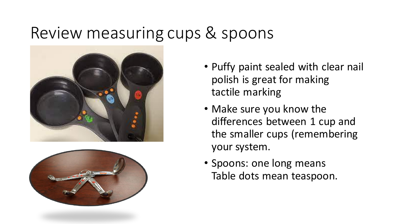#### Review measuring cups & spoons





- Puffy paint sealed with clear nail polish is great for making tactile marking
- Make sure you know the differences between 1 cup and the smaller cups (remembering your system.
- Spoons: one long means Table dots mean teaspoon.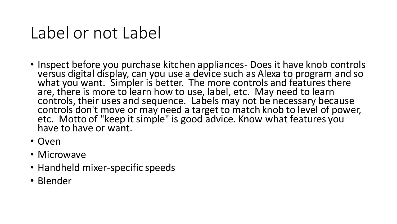#### Label or not Label

- Inspect before you purchase kitchen appliances- Does it have knob controls versus digital display, can you use a device such as Alexa to program and so what you want. Simpler is better. The more controls and features there are, there is more to learn how to use, label, etc. May need to learn controls, their uses and sequence. Labels may not be necessary because controls don't move or may need a target to match knob to level of power, etc. Motto of "keep it simple" is good advice. Know what features you have to have or want.
- Oven
- Microwave
- Handheld mixer-specific speeds
- Blender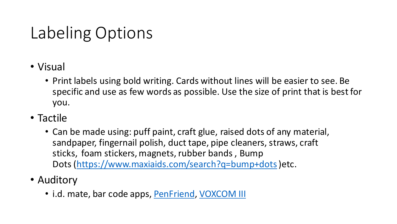# Labeling Options

- Visual
	- Print labels using bold writing. Cards without lines will be easier to see. Be specific and use as few words as possible. Use the size of print that is best for you.
- Tactile
	- Can be made using: puff paint, craft glue, raised dots of any material, sandpaper, fingernail polish, duct tape, pipe cleaners, straws, craft sticks, foam stickers, magnets, rubber bands, Bump Dots (<https://www.maxiaids.com/search?q=bump+dots>)etc.
- Auditory
	- i.d. mate, bar code apps, [PenFriend](https://independentliving.com/penfriend-iii-voice-labeling-system/?gclid=EAIaIQobChMIlZ_4_cv49QIVQTytBh2JEgBQEAQYAyABEgJiL_D_BwE), [VOXCOM III](https://www.maxiaids.com/voxcom-iii-100-voice-labeling-system-with-100-cards)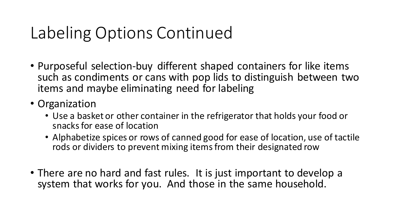### Labeling Options Continued

- Purposeful selection-buy different shaped containers for like items such as condiments or cans with pop lids to distinguish between two items and maybe eliminating need for labeling
- Organization
	- Use a basket or other container in the refrigerator that holds your food or snacks for ease of location
	- Alphabetize spices or rows of canned good for ease of location, use of tactile rods or dividers to prevent mixing items from their designated row
- There are no hard and fast rules. It is just important to develop a system that works for you. And those in the same household.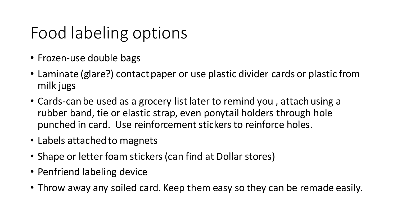## Food labeling options

- Frozen-use double bags
- Laminate (glare?) contact paper or use plastic divider cards or plastic from milk jugs
- Cards-can be used as a grocery list later to remind you , attach using a rubber band, tie or elastic strap, even ponytail holders through hole punched in card. Use reinforcement stickers to reinforce holes.
- Labels attached to magnets
- Shape or letter foam stickers (can find at Dollar stores)
- Penfriend labeling device
- Throw away any soiled card. Keep them easy so they can be remade easily.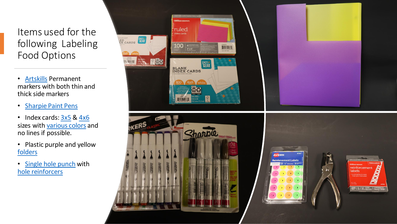#### Items used for the following Labeling Food Options

- [Artskills](https://www.walmart.com/ip/ArtSkills-Permanent-Project-Markers-Chisel-and-Fine-Tips-8Pc/240265138) Permanent markers with both thin and thick side markers
- [Sharpie Paint Pens](https://www.walmart.com/ip/Sharpie-Oil-Based-Fine-Point-Assorted-Colors-Paint-Markers-5-Count/33396599)
- Index cards: [3x5](https://www.walmart.com/ip/Pen-Gear-Unruled-Index-Cards-100-Count-White-3-x-5/560056824?athbdg=L1600) & [4x6](https://www.walmart.com/ip/Pen-Gear-Ruled-Index-Cards-4-x-6-White-100-Count/407961100) sizes with [various colors](https://www.walmart.com/ip/PEN-GEAR-Ruled-Index-Cards-3-x-5-Assorted-Neon-Colors-300-Count/523678815) and no lines if possible.
- Plastic purple and yellow [folders](https://www.walmart.com/ip/Pen-Gear-3-Prong-Poly-Folder-Letter-Size-2-Pockets-Black/981744683)
- [Single hole punch](https://www.walmart.com/ip/Pen-Gear-Single-Hole-Paper-Punch-Silver/45595365?athbdg=L1600) with [hole reinforcers](https://www.walmart.com/ip/Avery-Round-Reinforcement-Labels-White-1-4-Permanent-924-Reinforcements-06755/17163688)



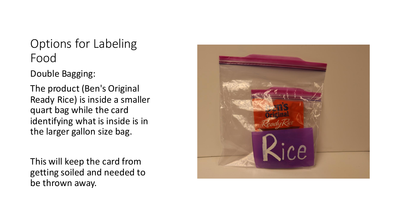Double Bagging:

The product (Ben's Original Ready Rice) is inside a smaller quart bag while the card identifying what is inside is in the larger gallon size bag.

This will keep the card from getting soiled and needed to be thrown away.

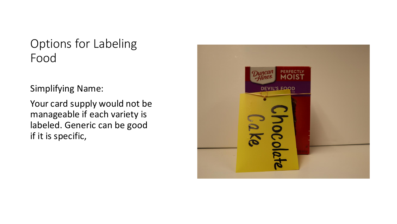Simplifying Name:

Your card supply would not be manageable if each variety is labeled. Generic can be good if it is specific,

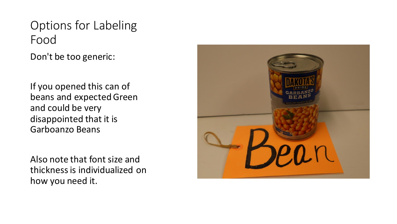Don't be too generic:

If you opened this can of beans and expected Green and could be very disappointed that it is Garboanzo Beans

Also note that font size and thickness is individualized on how you need it.

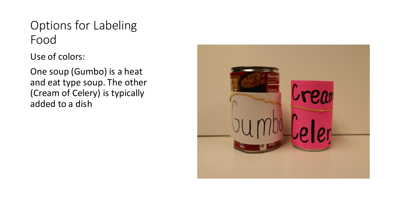Use of colors:

One soup (Gumbo) is a heat and eat type soup. The other (Cream of Celery) is typically added to a dish

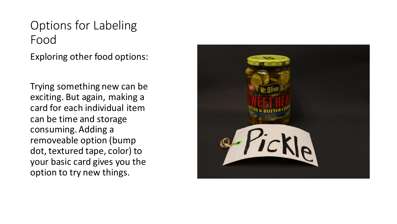Exploring other food options:

Trying something new can be exciting. But again, making a card for each individual item can be time and storage consuming. Adding a removeable option (bump dot, textured tape, color) to your basic card gives you the option to try new things.

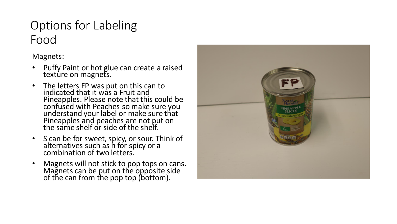Magnets:

- Puffy Paint or hot glue can create a raised texture on magnets.
- The letters FP was put on this can to indicated that it was a Fruit and Pineapples. Please note that this could be confused with Peaches so make sure you understand your label or make sure that Pineapples and peaches are not put on the same shelf or side of the shelf.
- S can be for sweet, spicy, or sour. Think of alternatives such as h for spicy or a combination of two letters.
- Magnets will not stick to pop tops on cans. Magnets can be put on the opposite side of the can from the pop top (bottom).

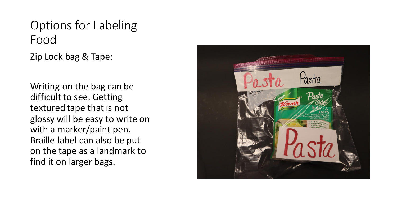Zip Lock bag & Tape:

Writing on the bag can be difficult to see. Getting textured tape that is not glossy will be easy to write on with a marker/paint pen. Braille label can also be put on the tape as a landmark to find it on larger bags.

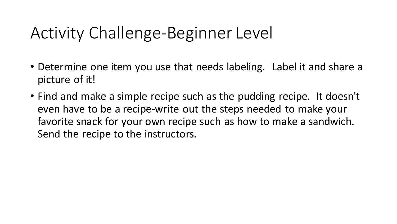### Activity Challenge-Beginner Level

- Determine one item you use that needs labeling. Label it and share a picture of it!
- Find and make a simple recipe such as the pudding recipe. It doesn't even have to be a recipe-write out the steps needed to make your favorite snack for your own recipe such as how to make a sandwich. Send the recipe to the instructors.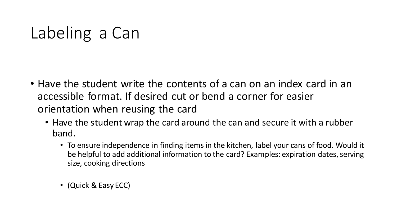### Labeling a Can

- Have the student write the contents of a can on an index card in an accessible format. If desired cut or bend a corner for easier orientation when reusing the card
	- Have the student wrap the card around the can and secure it with a rubber band.
		- To ensure independence in finding items in the kitchen, label your cans of food. Would it be helpful to add additional information to the card? Examples: expiration dates, serving size, cooking directions
		- (Quick & Easy ECC)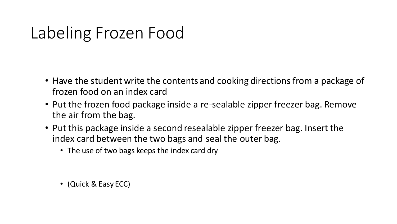### Labeling Frozen Food

- Have the student write the contents and cooking directions from a package of frozen food on an index card
- Put the frozen food package inside a re-sealable zipper freezer bag. Remove the air from the bag.
- Put this package inside a second resealable zipper freezer bag. Insert the index card between the two bags and seal the outer bag.
	- The use of two bags keeps the index card dry

• (Quick & Easy ECC)